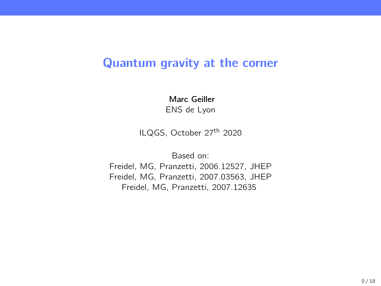# Quantum gravity at the corner

Marc Geiller ENS de Lyon

ILQGS, October 27<sup>th</sup> 2020

Based on:

Freidel, MG, Pranzetti, 2006.12527, JHEP Freidel, MG, Pranzetti, 2007.03563, JHEP Freidel, MG, Pranzetti, 2007.12635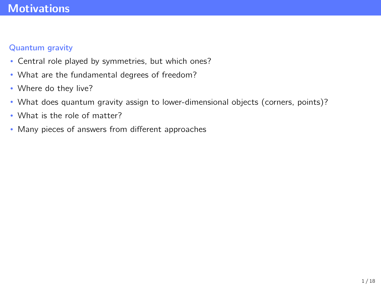# <span id="page-1-0"></span>**[Motivations](#page-1-0)**

### Quantum gravity

- Central role played by symmetries, but which ones?
- What are the fundamental degrees of freedom?
- Where do they live?
- What does quantum gravity assign to lower-dimensional objects (corners, points)?
- What is the role of matter?
- Many pieces of answers from different approaches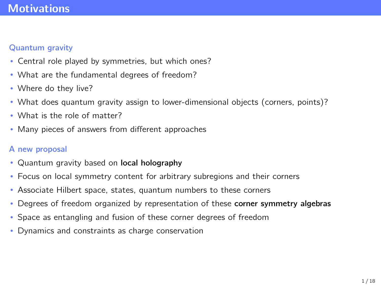# **[Motivations](#page-1-0)**

### Quantum gravity

- Central role played by symmetries, but which ones?
- What are the fundamental degrees of freedom?
- Where do they live?
- What does quantum gravity assign to lower-dimensional objects (corners, points)?
- What is the role of matter?
- Many pieces of answers from different approaches

#### A new proposal

- Quantum gravity based on local holography
- Focus on local symmetry content for arbitrary subregions and their corners
- Associate Hilbert space, states, quantum numbers to these corners
- Degrees of freedom organized by representation of these corner symmetry algebras
- Space as entangling and fusion of these corner degrees of freedom
- Dynamics and constraints as charge conservation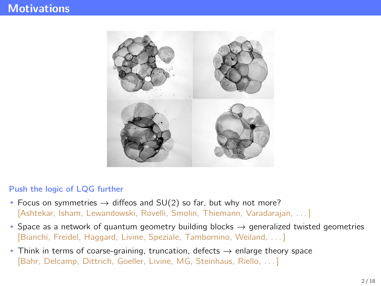# **[Motivations](#page-1-0)**



#### Push the logic of LQG further

- Focus on symmetries  $\rightarrow$  diffeos and SU(2) so far, but why not more? [Ashtekar, Isham, Lewandowski, Rovelli, Smolin, Thiemann, Varadarajan, . . . ]
- Space as a network of quantum geometry building blocks  $\rightarrow$  generalized twisted geometries [Bianchi, Freidel, Haggard, Livine, Speziale, Tambornino, Weiland, . . . ]
- Think in terms of coarse-graining, truncation, defects  $\rightarrow$  enlarge theory space [Bahr, Delcamp, Dittrich, Goeller, Livine, MG, Steinhaus, Riello, . . . ]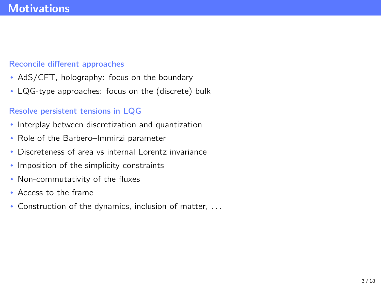#### Reconcile different approaches

- AdS/CFT, holography: focus on the boundary
- LQG-type approaches: focus on the (discrete) bulk

### Resolve persistent tensions in LQG

- Interplay between discretization and quantization
- Role of the Barbero–Immirzi parameter
- Discreteness of area vs internal Lorentz invariance
- Imposition of the simplicity constraints
- Non-commutativity of the fluxes
- Access to the frame
- Construction of the dynamics, inclusion of matter, . . .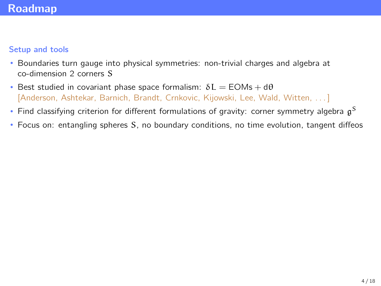### <span id="page-5-0"></span>[Roadmap](#page-5-0)

#### Setup and tools

- Boundaries turn gauge into physical symmetries: non-trivial charges and algebra at co-dimension 2 corners S
- Best studied in covariant phase space formalism:  $\delta L = EOMs + d\theta$ [Anderson, Ashtekar, Barnich, Brandt, Crnkovic, Kijowski, Lee, Wald, Witten, . . . ]
- $\bullet$  Find classifying criterion for different formulations of gravity: corner symmetry algebra  $\mathfrak{g}^{\mathsf{S}}$
- Focus on: entangling spheres S, no boundary conditions, no time evolution, tangent diffeos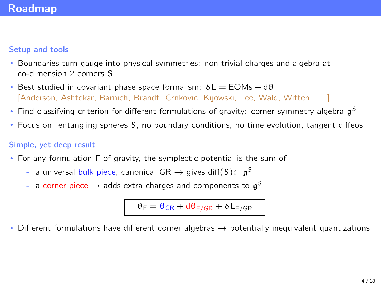### [Roadmap](#page-5-0)

#### Setup and tools

- Boundaries turn gauge into physical symmetries: non-trivial charges and algebra at co-dimension 2 corners S
- Best studied in covariant phase space formalism:  $\delta L = EOMs + d\theta$ [Anderson, Ashtekar, Barnich, Brandt, Crnkovic, Kijowski, Lee, Wald, Witten, . . . ]
- $\bullet$  Find classifying criterion for different formulations of gravity: corner symmetry algebra  $\mathfrak{g}^{\mathsf{S}}$
- Focus on: entangling spheres S, no boundary conditions, no time evolution, tangent diffeos

### Simple, yet deep result

- For any formulation F of gravity, the symplectic potential is the sum of
	- $\,$ a universal bulk piece, canonical GR  $\,\rightarrow$  gives diff $\mathrm{(S)}$ C  $\mathfrak{g}^{\mathrm{S}}$
	- $\,$  a corner piece  $\rightarrow$  adds extra charges and components to  $\, \mathfrak{g}^{\mathrm{S}} \,$

 $\theta_F = \theta_{GR} + d\theta_{F/GR} + \delta L_{F/GR}$ 

Different formulations have different corner algebras  $\rightarrow$  potentially inequivalent quantizations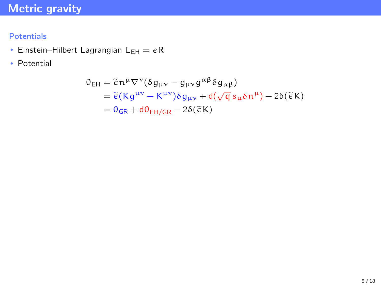### <span id="page-7-0"></span>Potentials

- Einstein-Hilbert Lagrangian  $L_{EH} = \epsilon R$
- Potential

$$
\theta_{EH} = \tilde{\epsilon} n^{\mu} \nabla^{\nu} (\delta g_{\mu\nu} - g_{\mu\nu} g^{\alpha\beta} \delta g_{\alpha\beta})
$$
  
= 
$$
\tilde{\epsilon} (K g^{\mu\nu} - K^{\mu\nu}) \delta g_{\mu\nu} + d(\sqrt{q} s_{\mu} \delta n^{\mu}) - 2\delta(\tilde{\epsilon} K)
$$
  
= 
$$
\theta_{GR} + d\theta_{EH/GR} - 2\delta(\tilde{\epsilon} K)
$$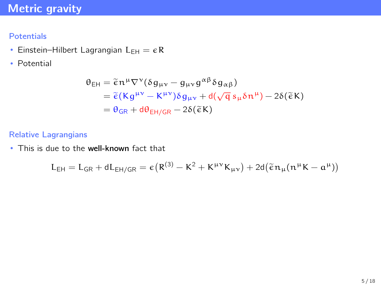### **Potentials**

- Einstein–Hilbert Lagrangian  $L_{EH} = \epsilon R$
- Potential

$$
\theta_{EH} = \tilde{\epsilon} n^{\mu} \nabla^{\nu} (\delta g_{\mu\nu} - g_{\mu\nu} g^{\alpha\beta} \delta g_{\alpha\beta})
$$
  
= 
$$
\tilde{\epsilon} (K g^{\mu\nu} - K^{\mu\nu}) \delta g_{\mu\nu} + d(\sqrt{q} s_{\mu} \delta n^{\mu}) - 2\delta(\tilde{\epsilon} K)
$$
  
= 
$$
\theta_{GR} + d\theta_{EH/GR} - 2\delta(\tilde{\epsilon} K)
$$

#### Relative Lagrangians

• This is due to the well-known fact that

$$
L_{EH} = L_{GR} + dL_{EH/GR} = \varepsilon (R^{(3)} - K^2 + K^{\mu\nu} K_{\mu\nu}) + 2d(\tilde{\varepsilon} n_{\mu}(n^{\mu}K - a^{\mu}))
$$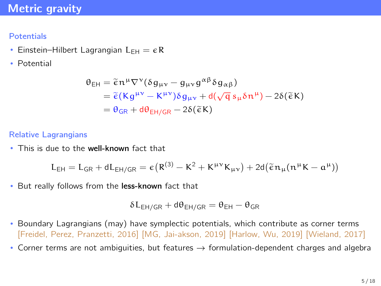### **Potentials**

- Einstein–Hilbert Lagrangian  $L_{FH} = \epsilon R$
- Potential

$$
\theta_{EH} = \tilde{\epsilon} n^{\mu} \nabla^{\nu} (\delta g_{\mu\nu} - g_{\mu\nu} g^{\alpha\beta} \delta g_{\alpha\beta})
$$
  
= 
$$
\tilde{\epsilon} (K g^{\mu\nu} - K^{\mu\nu}) \delta g_{\mu\nu} + d(\sqrt{q} s_{\mu} \delta n^{\mu}) - 2\delta(\tilde{\epsilon} K)
$$
  
= 
$$
\theta_{GR} + d\theta_{EH/GR} - 2\delta(\tilde{\epsilon} K)
$$

#### Relative Lagrangians

• This is due to the well-known fact that

$$
L_{EH} = L_{GR} + dL_{EH/GR} = \varepsilon (R^{(3)} - K^2 + K^{\mu\nu} K_{\mu\nu}) + 2d(\tilde{\varepsilon} n_{\mu}(n^{\mu}K - a^{\mu}))
$$

• But really follows from the less-known fact that

$$
\delta L_{EH/GR} + d\theta_{EH/GR} = \theta_{EH} - \theta_{GR}
$$

- Boundary Lagrangians (may) have symplectic potentials, which contribute as corner terms [Freidel, Perez, Pranzetti, 2016] [MG, Jai-akson, 2019] [Harlow, Wu, 2019] [Wieland, 2017]
- Corner terms are not ambiguities, but features  $\rightarrow$  formulation-dependent charges and algebra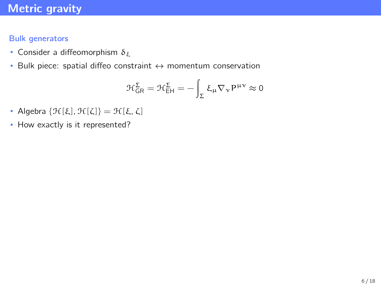#### Bulk generators

- Consider a diffeomorphism  $\delta_{\xi}$
- Bulk piece: spatial diffeo constraint ↔ momentum conservation

$$
\mathcal{H}^{\Sigma}_{GR}=\mathcal{H}^{\Sigma}_{EH}=-\int_{\Sigma}\xi_{\mu}\nabla_{\nu}P^{\mu\nu}\approx0
$$

- Algebra  $\{\mathcal{H}[\xi],\mathcal{H}[\zeta]\} = \mathcal{H}[\xi,\zeta]$
- How exactly is it represented?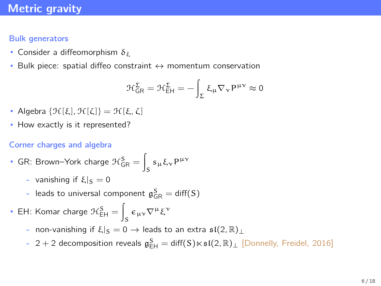### Bulk generators

- Consider a diffeomorphism  $\delta_{\xi}$
- Bulk piece: spatial diffeo constraint  $\leftrightarrow$  momentum conservation

$$
\mathcal{H}^{\Sigma}_{GR}=\mathcal{H}^{\Sigma}_{EH}=-\int_{\Sigma}\,\xi_{\mu}\nabla_{\nu}P^{\mu\nu}\approx0
$$

- Algebra  $\{\mathcal{H}[\xi],\mathcal{H}[\zeta]\} = \mathcal{H}[\xi,\zeta]$
- How exactly is it represented?

### Corner charges and algebra

- GR: Brown–York charge  $\mathcal{H}_{\mathsf{GR}}^{\mathsf{S}}=\Big[$  $s<sub>μ</sub>$ ξ<sub>ν</sub> Ρ<sup>μν</sup>
	- vanishing if  $\xi|_S = 0$
	- leads to universal component  $\mathfrak{g}^S_{\mathsf{GR}}=\mathsf{diff}(\mathsf{S})$
- EH: Komar charge  $\mathcal{H}_{\textsf{EH}}^{\textsf{S}}=\Big[$  $s^{\epsilon_{\mu\nu}\nabla^{\mu}\xi^{\nu}}$ 
	- non-vanishing if  $\xi|_S = 0 \rightarrow$  leads to an extra  $\mathfrak{sl}(2,\mathbb{R})_+$
	- 2 + 2 decomposition reveals  $\mathfrak{g}_{\text{EH}}^{\text{S}} = \text{diff}(\text{S}) \ltimes \mathfrak{sl}(2,\mathbb{R})_{\perp}$  [Donnelly, Freidel, 2016]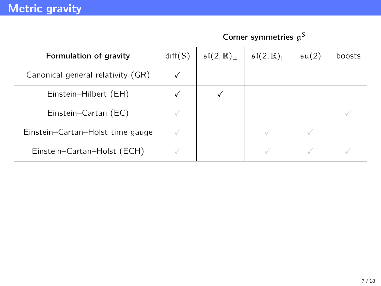|                                   | Corner symmetries $g^S$ |                                       |                                            |                    |        |
|-----------------------------------|-------------------------|---------------------------------------|--------------------------------------------|--------------------|--------|
| Formulation of gravity            | diff(S)                 | $\mathfrak{sl}(2,\mathbb{R})_{\perp}$ | $\mathfrak{sl}(2,\mathbb{R})_{\mathbb{L}}$ | $\mathfrak{su}(2)$ | boosts |
| Canonical general relativity (GR) |                         |                                       |                                            |                    |        |
| Einstein-Hilbert (EH)             |                         |                                       |                                            |                    |        |
| Einstein-Cartan (EC)              |                         |                                       |                                            |                    |        |
| Einstein-Cartan-Holst time gauge  |                         |                                       |                                            |                    |        |
| Einstein-Cartan-Holst (ECH)       |                         |                                       |                                            |                    |        |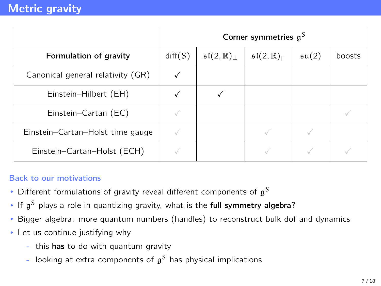|                                   | Corner symmetries $g^S$ |                                       |                                            |                    |        |
|-----------------------------------|-------------------------|---------------------------------------|--------------------------------------------|--------------------|--------|
| Formulation of gravity            | diff(S)                 | $\mathfrak{sl}(2,\mathbb{R})_{\perp}$ | $\mathfrak{sl}(2,\mathbb{R})_{\mathbb{L}}$ | $\mathfrak{su}(2)$ | boosts |
| Canonical general relativity (GR) |                         |                                       |                                            |                    |        |
| Einstein-Hilbert (EH)             |                         |                                       |                                            |                    |        |
| Einstein-Cartan (EC)              |                         |                                       |                                            |                    |        |
| Einstein-Cartan-Holst time gauge  |                         |                                       |                                            |                    |        |
| Einstein-Cartan-Holst (ECH)       |                         |                                       |                                            |                    |        |

### Back to our motivations

- Different formulations of gravity reveal different components of  $\mathfrak{g}^{\mathsf{S}}$
- If  $\mathfrak{g}^{\mathsf{S}}$  plays a role in quantizing gravity, what is the full symmetry algebra?
- Bigger algebra: more quantum numbers (handles) to reconstruct bulk dof and dynamics
- Let us continue justifying why
	- this has to do with quantum gravity
	- looking at extra components of  $\mathfrak{g}^{\mathcal{S}}$  has physical implications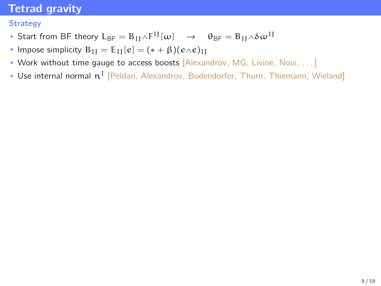### <span id="page-14-0"></span>**Strategy**

- Start from BF theory  $L_{BF} = B_{IJ} \wedge F^{IJ}[\omega] \rightarrow \theta_{BF} = B_{IJ} \wedge \delta \omega^{IJ}$
- Impose simplicity  $B_{II} = E_{II}[e] = (* + \beta)(e \wedge e)_{II}$
- Work without time gauge to access boosts [Alexandrov, MG, Livine, Noui, ...]
- Use internal normal  $\boldsymbol{\mathfrak{n}}^{\text{I}}$  [Peldan, Alexandrov, Bodendorfer, Thurn, Thiemann, Wieland]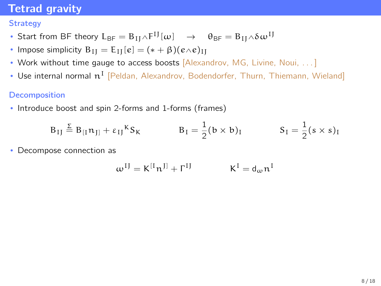### **Strategy**

- Start from BF theory  $L_{BF} = B_{IJ} \wedge F^{IJ}[\omega] \rightarrow \theta_{BF} = B_{IJ} \wedge \delta \omega^{IJ}$
- Impose simplicity  $B_{II} = E_{II}[e] = (* + \beta)(e \wedge e)_{II}$
- Work without time gauge to access boosts [Alexandrov, MG, Livine, Noui, ...]
- Use internal normal  $\boldsymbol{\mathfrak{n}}^{\text{I}}$  [Peldan, Alexandrov, Bodendorfer, Thurn, Thiemann, Wieland]

#### **Decomposition**

• Introduce boost and spin 2-forms and 1-forms (frames)

$$
B_{IJ} \stackrel{\Sigma}{=} B_{[I} n_{J]} + \varepsilon_{IJ}{}^{K} S_{K} \qquad B_{I} = \frac{1}{2} (b \times b)_{I} \qquad S_{I} = \frac{1}{2} (s \times s)_{I}
$$

• Decompose connection as

$$
\omega^{IJ} = K^{[I} \mathfrak{n}^{J]} + \Gamma^{IJ} \hspace{1cm} K^I = \mathsf{d}_\omega \mathfrak{n}^I
$$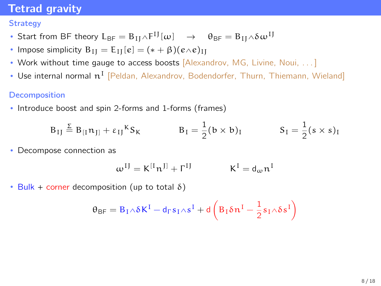### **Strategy**

- Start from BF theory  $L_{BF} = B_{IJ} \wedge F^{IJ}[\omega] \rightarrow \theta_{BF} = B_{IJ} \wedge \delta \omega^{IJ}$
- Impose simplicity  $B_{II} = E_{II}[e] = (* + \beta)(e \wedge e)_{II}$
- Work without time gauge to access boosts [Alexandrov, MG, Livine, Noui, ...]
- Use internal normal  $\boldsymbol{\mathfrak{n}}^{\text{I}}$  [Peldan, Alexandrov, Bodendorfer, Thurn, Thiemann, Wieland]

#### **Decomposition**

• Introduce boost and spin 2-forms and 1-forms (frames)

$$
B_{IJ} \stackrel{\Sigma}{=} B_{[I} n_{J]} + \varepsilon_{IJ}{}^{K} S_{K} \qquad B_{I} = \frac{1}{2} (b \times b)_{I} \qquad S_{I} = \frac{1}{2} (s \times s)_{I}
$$

• Decompose connection as

$$
\omega^{IJ} = K^{[I} \mathfrak{n}^{J]} + \Gamma^{IJ} \qquad \qquad K^I = \mathsf{d}_\omega \mathfrak{n}^I
$$

• Bulk + corner decomposition (up to total  $\delta$ )

$$
\theta_\text{BF} = B_I \wedge \delta K^I - d_\Gamma s_I \wedge s^I + d\left(B_I \delta n^I - \frac{1}{2} s_I \wedge \delta s^I\right)
$$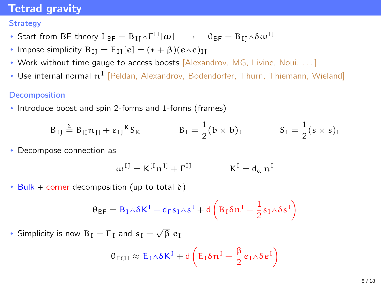### **Strategy**

- Start from BF theory  $L_{BF} = B_{IJ} \wedge F^{IJ}[\omega] \rightarrow \theta_{BF} = B_{IJ} \wedge \delta \omega^{IJ}$
- Impose simplicity  $B_{II} = E_{II}[e] = (* + \beta)(e \wedge e)_{II}$
- Work without time gauge to access boosts [Alexandrov, MG, Livine, Noui, ...]
- Use internal normal  $\boldsymbol{\mathfrak{n}}^{\text{I}}$  [Peldan, Alexandrov, Bodendorfer, Thurn, Thiemann, Wieland]

### Decomposition

• Introduce boost and spin 2-forms and 1-forms (frames)

$$
B_{IJ} \stackrel{\Sigma}{=} B_{[I} n_{J]} + \varepsilon_{IJ}{}^{K} S_{K} \qquad B_{I} = \frac{1}{2} (b \times b)_{I} \qquad S_{I} = \frac{1}{2} (s \times s)_{I}
$$

• Decompose connection as

$$
\omega^{IJ} = K^{[I} \mathfrak{n}^{J]} + \Gamma^{IJ} \hspace{1cm} K^I = d_\omega \mathfrak{n}^I
$$

• Bulk + corner decomposition (up to total  $\delta$ )

$$
\theta_\text{BF} = B_I \wedge \delta K^I - d_\Gamma s_I \wedge s^I + d\left(B_I \delta n^I - \frac{1}{2} s_I \wedge \delta s^I\right)
$$

• Simplicity is now  $B_I = E_I$  and  $s_I = \sqrt{\beta} e_I$ 

$$
\theta_{\text{ECH}} \approx E_I \wedge \delta K^I + d \left( E_I \delta n^I - \frac{\beta}{2} e_I \wedge \delta e^I \right)
$$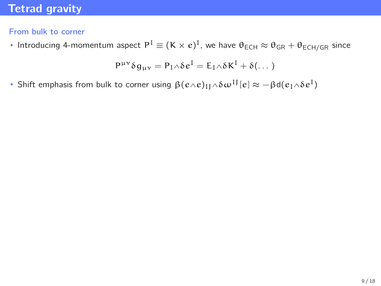### From bulk to corner

• Introducing 4-momentum aspect  $P^1 \equiv (K \times e)^1$ , we have  $\theta_{\sf ECH} \approx \theta_{\sf GR} + \theta_{\sf ECH/GR}$  since

$$
P^{\mu\nu}\delta g_{\mu\nu}=P_I{\scriptstyle\wedge}\delta e^I=E_I{\scriptstyle\wedge}\delta K^I+\delta(\dots)
$$

• Shift emphasis from bulk to corner using  $\beta(e{\wedge}e)_{\rm IJ}{\wedge}\delta\omega^{\rm IJ}[e]\approx-\beta{\rm d}(e_{\rm I}{\wedge}\delta e^{\rm I})$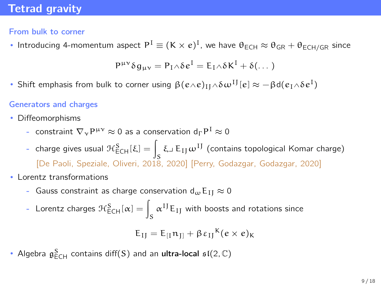### From bulk to corner

• Introducing 4-momentum aspect  $P^1 \equiv (K \times e)^1$ , we have  $\theta_{\sf ECH} \approx \theta_{\sf GR} + \theta_{\sf ECH/GR}$  since

$$
P^{\mu\nu}\delta g_{\mu\nu}=P_I{\scriptstyle\wedge}\delta\hskip.7pt e^I=E_I{\scriptstyle\wedge}\delta K^I+\delta(\dots)
$$

• Shift emphasis from bulk to corner using  $\beta(e{\wedge}e)_{\rm IJ}{\wedge}\delta\omega^{\rm IJ}[e]\approx-\beta{\rm d}(e_{\rm I}{\wedge}\delta e^{\rm I})$ 

#### Generators and charges

- Diffeomorphisms
	- constraint  $\nabla_{\mathbf{v}} \mathsf{P}^{\mu \nu} \approx 0$  as a conservation  $\mathsf{d}_\Gamma \mathsf{P}^{\mathsf{T}} \approx 0$
	- charge gives usual  $\mathcal{H}_{\sf ECH}^{\sf S}[\xi]=\int_{\:\raisebox{1pt}{\text{\circle*{1.5}}}} \xi\lrcorner\, {\sf E}_{\sf IJ}\, \pmb{\omega}^{\sf I J}$  (contains topological Komar charge) S [De Paoli, Speziale, Oliveri, 2018, 2020] [Perry, Godazgar, Godazgar, 2020]
- Lorentz transformations
	- Gauss constraint as charge conservation  $d_{\omega}E_{II} \approx 0$
	- Lorentz charges  $\mathcal{H}_{\mathsf{ECH}}^{\mathsf{S}}[\alpha] = \int_{\mathsf{S}} \alpha^{\text{IJ}} \mathsf{E}_{\text{IJ}}$  with boosts and rotations since

$$
E_{IJ}=E_{[I}n_{J]}+\beta\,\epsilon_{IJ}{}^K(e\times e)_K
$$

• Algebra  $\mathfrak{g}^S_{\mathsf{ECH}}$  contains diff(S) and an ultra-local  $\mathfrak{sl}(2,\mathbb{C})$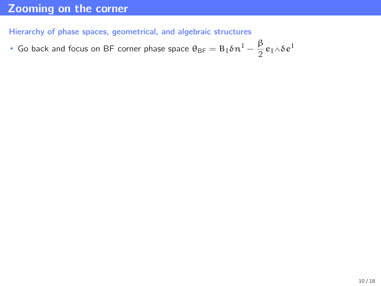## <span id="page-20-0"></span>[Zooming on the corner](#page-20-0)

Hierarchy of phase spaces, geometrical, and algebraic structures

• Go back and focus on BF corner phase space  $\theta_{\text{BF}} = B_I \delta n^I - \frac{\beta}{2}$  $\frac{p}{2}e_1 \wedge \delta e^{\mathbf{I}}$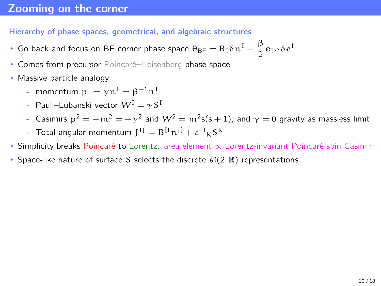### [Zooming on the corner](#page-20-0)

#### Hierarchy of phase spaces, geometrical, and algebraic structures

- Go back and focus on BF corner phase space  $\theta_{\text{BF}} = B_I \delta n^I \frac{\beta}{2}$  $\frac{p}{2}e_1 \wedge \delta e^{\mathbf{I}}$
- Comes from precursor Poincaré–Heisenberg phase space
- Massive particle analogy
	- momentum  $p^I = \gamma n^I = \beta^{-1} n^I$
	- Pauli–Lubanski vector  $W^I = \gamma S^I$
	- Casimirs  $\rm p^2=-m^2=-\gamma^2$  and  $\rm W^2=m^2$ s $(\rm s+1)$ , and  $\rm \gamma=0$  gravity as massless limit
	- Total angular momentum  $J^{IJ} = B^{[I}n^{J]} + \epsilon^{IJ}{}_{K}S^{K}$
- Simplicity breaks Poincaré to Lorentz: area element ∝ Lorentz-invariant Poincaré spin Casimir
- Space-like nature of surface S selects the discrete  $\mathfrak{sl}(2,\mathbb{R})$  representations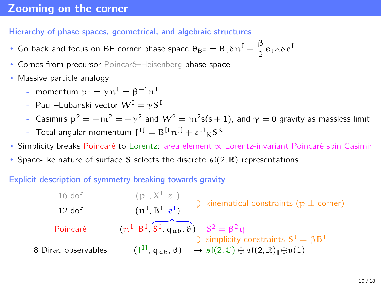### [Zooming on the corner](#page-20-0)

#### Hierarchy of phase spaces, geometrical, and algebraic structures

- Go back and focus on BF corner phase space  $\theta_{\text{BF}} = B_I \delta n^I \frac{\beta}{2}$  $\frac{p}{2}e_1 \wedge \delta e^{\mathbf{I}}$
- Comes from precursor Poincaré–Heisenberg phase space
- Massive particle analogy
	- momentum  $p^I = \gamma n^I = \beta^{-1} n^I$
	- Pauli–Lubanski vector  $W^I = \gamma S^I$
	- Casimirs  $\rm p^2=-m^2=-\gamma^2$  and  $\rm W^2=m^2$ s $(\rm s+1)$ , and  $\rm \gamma=0$  gravity as massless limit
	- Total angular momentum  $J^{IJ} = B^{[I}n^{J]} + \epsilon^{IJ}{}_{K}S^{K}$
- Simplicity breaks Poincaré to Lorentz: area element ∝ Lorentz-invariant Poincaré spin Casimir
- Space-like nature of surface S selects the discrete  $\mathfrak{sl}(2,\mathbb{R})$  representations

#### Explicit description of symmetry breaking towards gravity

16 dof (p<sup>I</sup> , X<sup>I</sup> , z I ) y kinematical constraints (p ⊥ corner) 12 dof (n<sup>I</sup> , B<sup>I</sup> , e I ) Poincaré (n<sup>I</sup> , B<sup>I</sup> , S I , qab,ϑ) S y <sup>2</sup> = β2q simplicity constraints S <sup>I</sup> = βB<sup>I</sup> 8 Dirac observables (J IJ , qab,ϑ) → sl(2, C) ⊕ sl(2, R)k⊕u(1)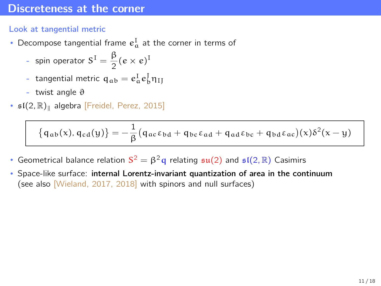### <span id="page-23-0"></span>Look at tangential metric

- Decompose tangential frame  $e_{\alpha}^{\perp}$  at the corner in terms of
	- spin operator  $S^I = \frac{\beta}{2}$  $\frac{p}{2}(e \times e)^{1}$
	- tangential metric  $q_{ab} = e_a^I e_b^J \eta_{IJ}$
	- twist angle  $\vartheta$
- $\mathfrak{sl}(2,\mathbb{R})_{\mathbb{I}}$  algebra [Freidel, Perez, 2015]

$$
\big\{ \mathfrak{q}_{\alpha b}(x), \mathfrak{q}_{\text{cd}}(y) \big\} = -\frac{1}{\beta} \big( \mathfrak{q}_{\alpha c} \epsilon_{b d} + \mathfrak{q}_{b c} \epsilon_{\alpha d} + \mathfrak{q}_{\alpha d} \epsilon_{b c} + \mathfrak{q}_{b d} \epsilon_{\alpha c} \big)(x) \delta^2(x-y)
$$

- Geometrical balance relation  $S^2 = \beta^2 q$  relating  $\mathfrak{su}(2)$  and  $\mathfrak{sl}(2,\mathbb{R})$  Casimirs
- Space-like surface: internal Lorentz-invariant quantization of area in the continuum (see also [Wieland, 2017, 2018] with spinors and null surfaces)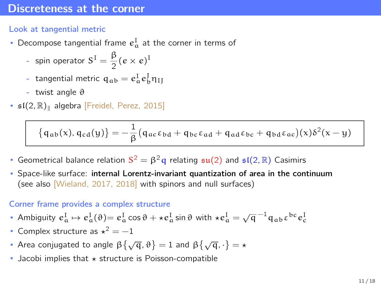### Look at tangential metric

- Decompose tangential frame  $e_{\alpha}^{\perp}$  at the corner in terms of
	- spin operator  $S^I = \frac{\beta}{2}$  $\frac{p}{2}(e \times e)^{1}$
	- tangential metric  $q_{ab} = e_a^I e_b^J \eta_{IJ}$
	- twist angle  $\vartheta$
- $\mathfrak{sl}(2,\mathbb{R})_{\mathbb{I}}$  algebra [Freidel, Perez, 2015]

$$
\big\{ \mathfrak{q}_{\alpha b}(x), \mathfrak{q}_{\text{cd}}(y) \big\} = -\frac{1}{\beta} \big( \mathfrak{q}_{\alpha c} \epsilon_{b d} + \mathfrak{q}_{b c} \epsilon_{\alpha d} + \mathfrak{q}_{\alpha d} \epsilon_{b c} + \mathfrak{q}_{b d} \epsilon_{\alpha c} \big)(x) \delta^2(x-y)
$$

- Geometrical balance relation  $S^2 = \beta^2 q$  relating  $\mathfrak{su}(2)$  and  $\mathfrak{sl}(2,\mathbb{R})$  Casimirs
- Space-like surface: internal Lorentz-invariant quantization of area in the continuum (see also [Wieland, 2017, 2018] with spinors and null surfaces)

#### Corner frame provides a complex structure

- Ambiguity  $e^I_a \mapsto e^I_a(\vartheta) = e^I_a \cos \vartheta + \star e^I_a \sin \vartheta$  with  $\star e^I_a = \sqrt{q}^{-1} q_{ab} \epsilon^{bc} e^I_c$
- Complex structure as  $x^2 = -1$
- Area conjugated to angle  $\beta\left\{\sqrt{\mathfrak{q}},\vartheta\right\}=1$  and  $\beta\left\{\sqrt{\mathfrak{q}},\cdot\right\}=\star$
- Jacobi implies that  $\star$  structure is Poisson-compatible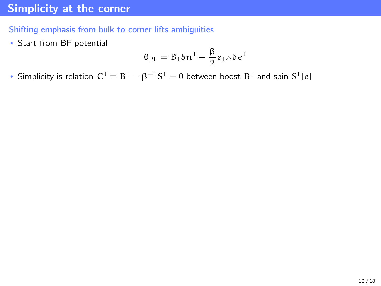# <span id="page-25-0"></span>[Simplicity at the corner](#page-25-0)

Shifting emphasis from bulk to corner lifts ambiguities

• Start from BF potential

$$
\theta_{\text{BF}} = B_{\text{I}} \delta \mathfrak{n}^{\text{I}} - \frac{\beta}{2} e_{\text{I}} \wedge \delta e^{\text{I}}
$$

• Simplicity is relation  $C^I \equiv B^I - \beta^{-1}S^I = 0$  between boost  $B^I$  and spin  $S^I[e]$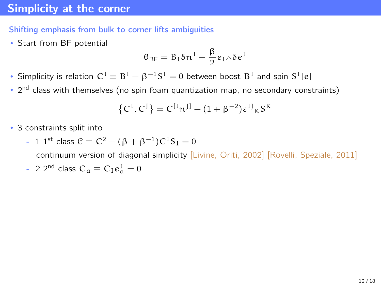# [Simplicity at the corner](#page-25-0)

#### Shifting emphasis from bulk to corner lifts ambiguities

• Start from BF potential

$$
\theta_{\text{BF}} = B_I \delta n^I - \frac{\beta}{2} e_I \wedge \delta e^I
$$

• Simplicity is relation  $C^I \equiv B^I - \beta^{-1}S^I = 0$  between boost  $B^I$  and spin  $S^I[e]$ 

• 2<sup>nd</sup> class with themselves (no spin foam quantization map, no secondary constraints)

$$
\left\{C^I,C^J\right\} = C^{[I} \pi^{J]} - (1+\beta^{-2}) \epsilon^{IJ}{}_{K} S^K
$$

• 3 constraints split into

- 1 1<sup>st</sup> class 
$$
C \equiv C^2 + (\beta + \beta^{-1})C^T S_1 = 0
$$

continuum version of diagonal simplicity [Livine, Oriti, 2002] [Rovelli, Speziale, 2011]

- 2 2<sup>nd</sup> class 
$$
C_a \equiv C_I e_a^I = 0
$$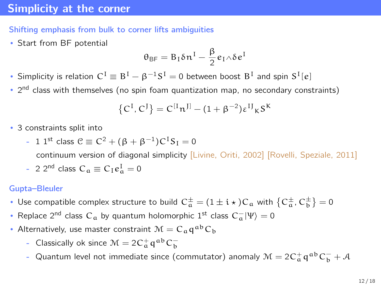# [Simplicity at the corner](#page-25-0)

#### Shifting emphasis from bulk to corner lifts ambiguities

• Start from BF potential

$$
\theta_{\text{BF}} = B_I \delta n^I - \frac{\beta}{2} e_I \wedge \delta e^I
$$

• Simplicity is relation  $C^I \equiv B^I - \beta^{-1}S^I = 0$  between boost  $B^I$  and spin  $S^I[e]$ 

• 2<sup>nd</sup> class with themselves (no spin foam quantization map, no secondary constraints)

$$
\left\{C^I,C^J\right\} = C^{[I} \pi^{J]} - (1+\beta^{-2}) \epsilon^{IJ}{}_{K} S^K
$$

- 3 constraints split into
	- 1 1<sup>st</sup> class  $\mathcal{C} \equiv C^2 + (\beta + \beta^{-1})C^{\text{T}}S_{\text{I}} = 0$

continuum version of diagonal simplicity [Livine, Oriti, 2002] [Rovelli, Speziale, 2011]

- 2 2<sup>nd</sup> class  $C_a \equiv C_I e_a^I = 0$ 

#### Gupta–Bleuler

- Use compatible complex structure to build  $C_a^{\pm} = (1 \pm i \star) C_a$  with  $\{C_a^{\pm}, C_b^{\pm}\} = 0$
- Replace 2<sup>nd</sup> class  $C_a$  by quantum holomorphic 1<sup>st</sup> class  $C_a^-|\Psi\rangle=0$
- Alternatively, use master constraint  $\mathcal{M} = C_a q^{ab} C_b$ 
	- Classically ok since  $\mathcal{M} = 2C_{\mathfrak{a}}^+ \mathfrak{q}^{\mathfrak{a} \mathfrak{b}} C_{\mathfrak{b}}^-$
	- Quantum level not immediate since (commutator) anomaly  $\mathcal{M} = 2 C_{\mathfrak{a}}^+ \mathfrak{q}^{\mathfrak{a} \mathfrak{b}} C_{\mathfrak{b}}^- + \mathcal{A}$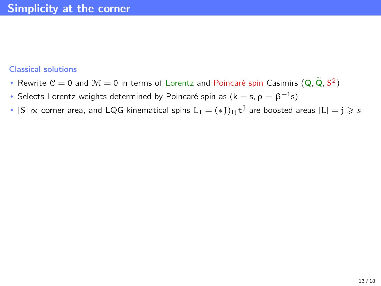#### Classical solutions

- Rewrite  $C = 0$  and  $M = 0$  in terms of Lorentz and Poincaré spin Casimirs  $(Q, \tilde{Q}, S^2)$
- Selects Lorentz weights determined by Poincaré spin as (k = s,  $\rho = \beta^{-1}$ s)
- $|S|\propto$  corner area, and <code>LQG</code> kinematical spins  $L_I=(*J)_{IJ}t^J$  are boosted areas  $|L|=j\geqslant s$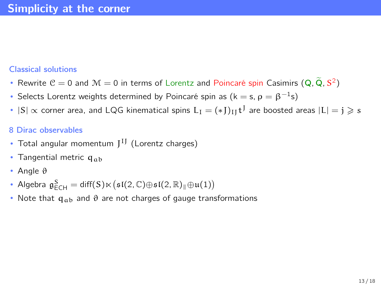#### Classical solutions

- Rewrite  $C = 0$  and  $M = 0$  in terms of Lorentz and Poincaré spin Casimirs  $(Q, \tilde{Q}, S^2)$
- Selects Lorentz weights determined by Poincaré spin as (k = s,  $\rho = \beta^{-1}$ s)
- $|S|\propto$  corner area, and <code>LQG</code> kinematical spins  $L_I=(*J)_{IJ}t^J$  are boosted areas  $|L|=j\geqslant s$

#### 8 Dirac observables

- Total angular momentum  $J^{IJ}$  (Lorentz charges)
- Tangential metric  $q_{ab}$
- Angle θ
- Algebra  $\mathfrak{g}^S_{\text{ECH}} = \text{diff}(S) \ltimes (\mathfrak{sl}(2,\mathbb{C}) \oplus \mathfrak{sl}(2,\mathbb{R})_{\parallel} \oplus \mathfrak{u}(1))$
- Note that  $q_{ab}$  and  $\vartheta$  are not charges of gauge transformations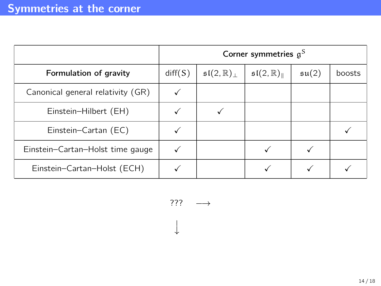<span id="page-30-0"></span>

|                                   | Corner symmetries $a^S$ |                                       |                                            |                    |        |
|-----------------------------------|-------------------------|---------------------------------------|--------------------------------------------|--------------------|--------|
| Formulation of gravity            | diff(S)                 | $\mathfrak{sl}(2,\mathbb{R})_{\perp}$ | $\mathfrak{sl}(2,\mathbb{R})_{\mathbb{L}}$ | $\mathfrak{su}(2)$ | boosts |
| Canonical general relativity (GR) |                         |                                       |                                            |                    |        |
| Einstein-Hilbert (EH)             |                         |                                       |                                            |                    |        |
| Einstein-Cartan (EC)              |                         |                                       |                                            |                    |        |
| Einstein-Cartan-Holst time gauge  |                         |                                       |                                            |                    |        |
| Einstein-Cartan-Holst (ECH)       |                         |                                       |                                            |                    |        |

??? −→

−→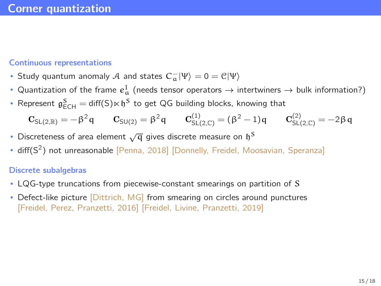#### <span id="page-31-0"></span>Continuous representations

- Study quantum anomaly  $\mathcal A$  and states  $C_{\alpha}^- |\Psi\rangle = 0 = \mathcal C |\Psi\rangle$
- Quantization of the frame  $e^1_\alpha$  (needs tensor operators  $\rightarrow$  intertwiners  $\rightarrow$  bulk information?)
- Represent  $\mathfrak{g}_{\textsf{ECH}}^{\textsf{S}}=\textsf{diff}(\textsf{S})\ltimes \mathfrak{h}^{\textsf{S}}$  to get QG building blocks, knowing that

$$
\mathbf{C}_{\text{SL}(2,\mathbb{R})} = -\beta^2 \mathsf{q} \qquad \mathbf{C}_{\text{SU}(2)} = \beta^2 \mathsf{q} \qquad \mathbf{C}_{\text{SL}(2,\mathbb{C})}^{(1)} = (\beta^2-1) \mathsf{q} \qquad \mathbf{C}_{\text{SL}(2,\mathbb{C})}^{(2)} = -2 \beta \mathsf{q}
$$

- Discreteness of area element  $\sqrt{\mathsf{q}}$  gives discrete measure on  $\mathfrak{h}^{\mathsf{S}}$
- diff( $S^2$ ) not unreasonable [Penna, 2018] [Donnelly, Freidel, Moosavian, Speranza]

#### Discrete subalgebras

- LQG-type truncations from piecewise-constant smearings on partition of S
- Defect-like picture *[Dittrich, MG]* from smearing on circles around punctures [Freidel, Perez, Pranzetti, 2016] [Freidel, Livine, Pranzetti, 2019]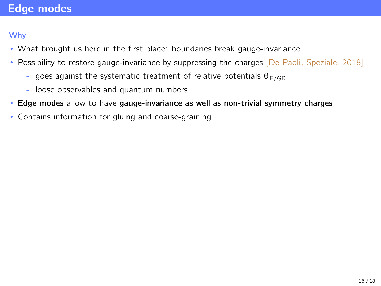# <span id="page-32-0"></span>[Edge modes](#page-32-0)

### Why

- What brought us here in the first place: boundaries break gauge-invariance
- Possibility to restore gauge-invariance by suppressing the charges [De Paoli, Speziale, 2018]
	- goes against the systematic treatment of relative potentials  $\theta_{F/GR}$
	- loose observables and quantum numbers
- Edge modes allow to have gauge-invariance as well as non-trivial symmetry charges
- Contains information for gluing and coarse-graining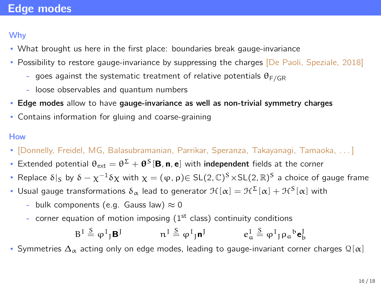# [Edge modes](#page-32-0)

### Why

- What brought us here in the first place: boundaries break gauge-invariance
- Possibility to restore gauge-invariance by suppressing the charges [De Paoli, Speziale, 2018]
	- goes against the systematic treatment of relative potentials  $\theta_{F/GR}$
	- loose observables and quantum numbers
- Edge modes allow to have gauge-invariance as well as non-trivial symmetry charges
- Contains information for gluing and coarse-graining

### How

- [Donnelly, Freidel, MG, Balasubramanian, Parrikar, Speranza, Takayanagi, Tamaoka, . . . ]
- Extended potential  $\theta_{ext} = \theta^{\Sigma} + \theta^S [\mathbf{B}, \mathbf{n}, \mathbf{e}]$  with independent fields at the corner
- Replace  $\delta|_S$  by  $\delta-\chi^{-1}\delta\chi$  with  $\chi=(\phi,\rho){\in}$  SL(2, C)<sup>S</sup>  $\times$ SL(2, R)<sup>S</sup> a choice of gauge frame
- Usual gauge transformations  $\delta_\alpha$  lead to generator  $\mathcal{H}[\alpha]=\mathcal{H}^\Sigma[\alpha]+\mathcal{H}^S[\alpha]$  with
	- bulk components (e.g. Gauss law)  $\approx 0$
	- corner equation of motion imposing  $(1<sup>st</sup>$  class) continuity conditions

$$
B^I \stackrel{S}{=} \phi^I{}_J \bm{B}^J \hspace{1.5cm} n^I \stackrel{S}{=} \phi^I{}_J \bm{n}^J \hspace{1.5cm} e^I_\alpha \stackrel{S}{=} \phi^I{}_J \rho_\alpha{}^b \bm{e}^I_b
$$

• Symmetries  $\Delta_{\alpha}$  acting only on edge modes, leading to gauge-invariant corner charges  $\mathcal{Q}[\alpha]$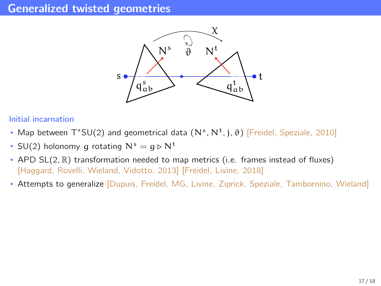### <span id="page-34-0"></span>[Generalized twisted geometries](#page-34-0)



#### Initial incarnation

- Map between  $T^*SU(2)$  and geometrical data  $(N^s, N^t, j, \vartheta)$  [Freidel, Speziale, 2010]
- SU(2) holonomy g rotating  $N^s = g \triangleright N^t$
- APD  $SL(2,\mathbb{R})$  transformation needed to map metrics (i.e. frames instead of fluxes) [Haggard, Rovelli, Wieland, Vidotto, 2013] [Freidel, Livine, 2018]
- Attempts to generalize [Dupuis, Freidel, MG, Livine, Ziprick, Speziale, Tambornino, Wieland]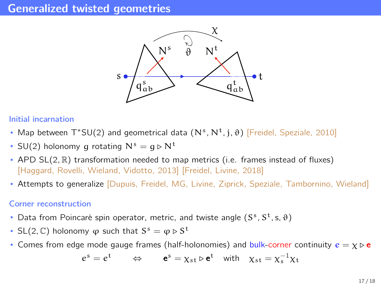## [Generalized twisted geometries](#page-34-0)



#### Initial incarnation

- Map between  $T^*SU(2)$  and geometrical data  $(N^s, N^t, j, \vartheta)$  [Freidel, Speziale, 2010]
- SU(2) holonomy g rotating  $N^s = g \triangleright N^t$
- APD SL(2, R) transformation needed to map metrics (i.e. frames instead of fluxes) [Haggard, Rovelli, Wieland, Vidotto, 2013] [Freidel, Livine, 2018]
- Attempts to generalize [Dupuis, Freidel, MG, Livine, Ziprick, Speziale, Tambornino, Wieland]

#### Corner reconstruction

- Data from Poincaré spin operator, metric, and twiste angle  $(S^s, S^t, s, \vartheta)$
- SL(2, C) holonomy  $\varphi$  such that  $S^s = \varphi \triangleright S^t$
- Comes from edge mode gauge frames (half-holonomies) and bulk-corner continuity  $e = \chi \triangleright e$

$$
e^s = e^t \qquad \Leftrightarrow \qquad \mathbf{e}^s = \chi_{st} \triangleright \mathbf{e}^t \quad \text{with} \quad \chi_{st} = \chi_s^{-1} \chi_t
$$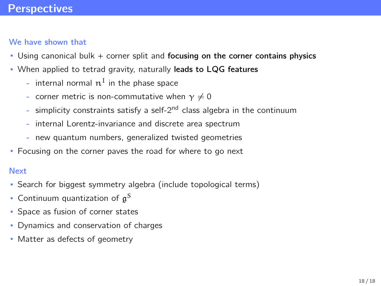# <span id="page-36-0"></span>**[Perspectives](#page-36-0)**

### We have shown that

- Using canonical bulk + corner split and focusing on the corner contains physics
- When applied to tetrad gravity, naturally leads to LQG features
	- internal normal  $n<sup>I</sup>$  in the phase space
	- corner metric is non-commutative when  $\gamma \neq 0$
	- simplicity constraints satisfy a self- $2<sup>nd</sup>$  class algebra in the continuum
	- internal Lorentz-invariance and discrete area spectrum
	- new quantum numbers, generalized twisted geometries
- Focusing on the corner paves the road for where to go next

#### Next

- Search for biggest symmetry algebra (include topological terms)
- Continuum quantization of  $\mathfrak{g}^{\mathcal{S}}$
- Space as fusion of corner states
- Dynamics and conservation of charges
- Matter as defects of geometry